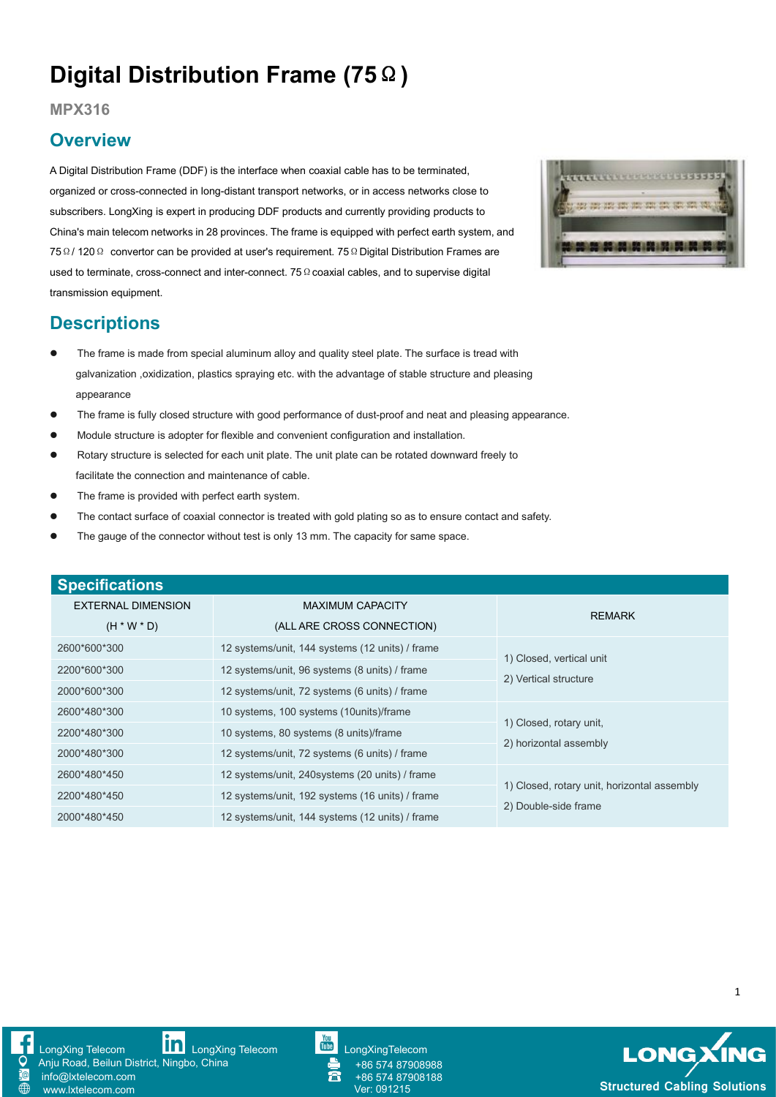## **Digital Distribution Frame (75**Ω**)**

**MPX316**

## **Overview**

A Digital Distribution Frame (DDF) is the interface when coaxial cable has to be terminated, organized or cross-connected in long-distant transport networks, or in access networks close to subscribers. LongXing is expert in producing DDF products and currently providing products to China's main telecom networks in 28 provinces. The frame is equipped with perfect earth system, and 75Ω/ 120Ω convertor can be provided at user's requirement. 75ΩDigital Distribution Frames are used to terminate, cross-connect and inter-connect. 75 Ω coaxial cables, and to supervise digital transmission equipment.



## **Descriptions**

- The frame is made from special aluminum alloy and quality steel plate. The surface is tread with galvanization ,oxidization, plastics spraying etc. with the advantage of stable structure and pleasing appearance
- The frame is fully closed structure with good performance of dust-proof and neat and pleasing appearance.
- Module structure is adopter for flexible and convenient configuration and installation.
- Rotary structure is selected for each unit plate. The unit plate can be rotated downward freely to facilitate the connection and maintenance of cable.
- The frame is provided with perfect earth system.
- The contact surface of coaxial connector is treated with gold plating so as to ensure contact and safety.
- The gauge of the connector without test is only 13 mm. The capacity for same space.

| <b>Specifications</b> |                                                 |                                                                     |
|-----------------------|-------------------------------------------------|---------------------------------------------------------------------|
| EXTERNAL DIMENSION    | <b>MAXIMUM CAPACITY</b>                         | <b>REMARK</b>                                                       |
| $(H * W * D)$         | (ALL ARE CROSS CONNECTION)                      |                                                                     |
| 2600*600*300          | 12 systems/unit, 144 systems (12 units) / frame | 1) Closed, vertical unit<br>2) Vertical structure                   |
| 2200*600*300          | 12 systems/unit, 96 systems (8 units) / frame   |                                                                     |
| 2000*600*300          | 12 systems/unit, 72 systems (6 units) / frame   |                                                                     |
| 2600*480*300          | 10 systems, 100 systems (10 units)/frame        | 1) Closed, rotary unit,<br>2) horizontal assembly                   |
| 2200*480*300          | 10 systems, 80 systems (8 units)/frame          |                                                                     |
| 2000*480*300          | 12 systems/unit, 72 systems (6 units) / frame   |                                                                     |
| 2600*480*450          | 12 systems/unit, 240 systems (20 units) / frame | 1) Closed, rotary unit, horizontal assembly<br>2) Double-side frame |
| 2200*480*450          | 12 systems/unit, 192 systems (16 units) / frame |                                                                     |
| 2000*480*450          | 12 systems/unit, 144 systems (12 units) / frame |                                                                     |

info@lxtelecom.com [www.lxtelecom.com](http://www.lxtelecom.com/)





+86 574 87908988 +86 574 87908188



1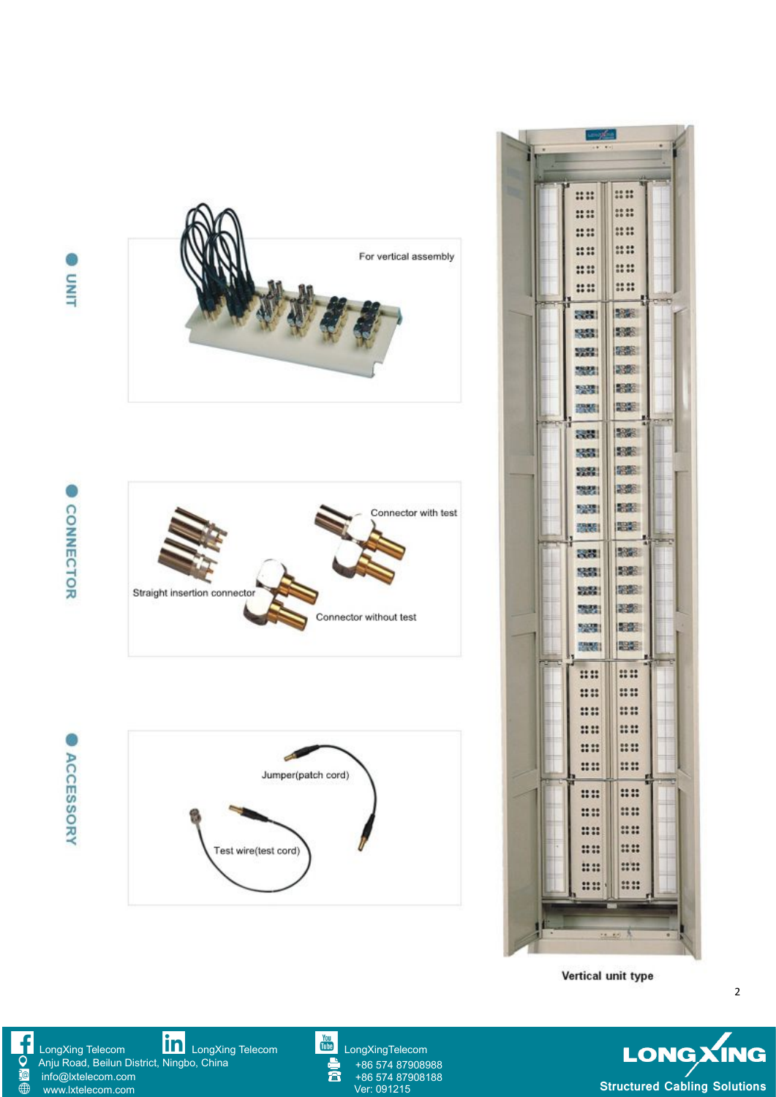



Vertical unit type

2

**LONG XING**<br>Structured Cabling Solutions

[LongXing](https://www.linkedin.com/company/longxing-telecom) Telecom **LongXing Telecom** LongXing Telecom **[LongXingTelecom](https://www.youtube.com/user/LongXingTelecom)** Anju Road, Beilun District, Ningbo, China info@lxtelecom.com [www.lxtelecom.com](http://www.lxtelecom.com/)

 $\overline{\bigoplus}$ 



+86 574 87908988 +86 574 87908188<br>Ver: 091215